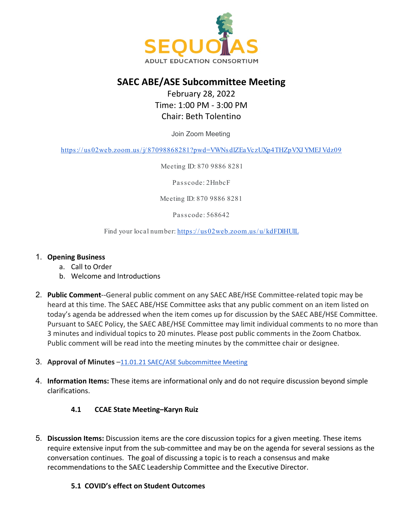

# **SAEC ABE/ASE Subcommittee Meeting**

## February 28, 2022 Time: 1:00 PM - 3:00 PM Chair: Beth Tolentino

Join Zoom Meeting

https://us02web.zoom.us/j/87098868281?pwd=VWNs dlZEaVczUXp4THZpVXJ YMEJ Vdz09

Meeting ID: 870 9886 8281

Passcode: 2HnbcF

Meeting ID: 870 9886 8281

Pas s code: 568642

Find your local number: https://us02web.zoom.us/u/kdFDlHUIL

#### 1. **Opening Business**

- a. Call to Order
- b. Welcome and Introductions
- 2. **Public Comment**--General public comment on any SAEC ABE/HSE Committee-related topic may be heard at this time. The SAEC ABE/HSE Committee asks that any public comment on an item listed on today's agenda be addressed when the item comes up for discussion by the SAEC ABE/HSE Committee. Pursuant to SAEC Policy, the SAEC ABE/HSE Committee may limit individual comments to no more than 3 minutes and individual topics to 20 minutes. Please post public comments in the Zoom Chatbox. Public comment will be read into the meeting minutes by the committee chair or designee.
- 3. **Approval of Minutes** [–11.01.21 SAEC/ASE Subcommittee Meeting](https://docs.google.com/document/d/1AyJoR6fwSvVn6kscvJQPCK70M3fG6zYo/edit?usp=sharing&ouid=104475662694419299533&rtpof=true&sd=trueharing&ouid=114736191070370070679&rtpof=true&sd=true)
- 4. **Information Items:** These items are informational only and do not require discussion beyond simple clarifications.

### **4.1 CCAE State Meeting–Karyn Ruiz**

5. **Discussion Items:** Discussion items are the core discussion topics for a given meeting. These items require extensive input from the sub-committee and may be on the agenda for several sessions as the conversation continues. The goal of discussing a topic is to reach a consensus and make recommendations to the SAEC Leadership Committee and the Executive Director.

#### **5.1 COVID's effect on Student Outcomes**